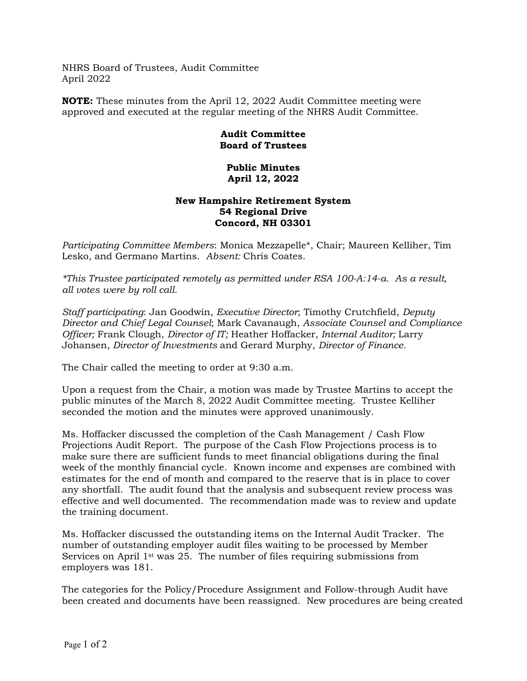NHRS Board of Trustees, Audit Committee April 2022

**NOTE:** These minutes from the April 12, 2022 Audit Committee meeting were approved and executed at the regular meeting of the NHRS Audit Committee.

## **Audit Committee Board of Trustees**

## **Public Minutes April 12, 2022**

## **New Hampshire Retirement System 54 Regional Drive Concord, NH 03301**

*Participating Committee Members*: Monica Mezzapelle\*, Chair; Maureen Kelliher, Tim Lesko, and Germano Martins. *Absent:* Chris Coates.

*\*This Trustee participated remotely as permitted under RSA 100-A:14-a. As a result, all votes were by roll call.* 

*Staff participating*: Jan Goodwin, *Executive Director*; Timothy Crutchfield, *Deputy Director and Chief Legal Counsel*; Mark Cavanaugh, *Associate Counsel and Compliance Officer;* Frank Clough, *Director of IT;* Heather Hoffacker, *Internal Auditor;* Larry Johansen, *Director of Investments* and Gerard Murphy, *Director of Finance.* 

The Chair called the meeting to order at 9:30 a.m.

Upon a request from the Chair, a motion was made by Trustee Martins to accept the public minutes of the March 8, 2022 Audit Committee meeting. Trustee Kelliher seconded the motion and the minutes were approved unanimously.

Ms. Hoffacker discussed the completion of the Cash Management / Cash Flow Projections Audit Report. The purpose of the Cash Flow Projections process is to make sure there are sufficient funds to meet financial obligations during the final week of the monthly financial cycle. Known income and expenses are combined with estimates for the end of month and compared to the reserve that is in place to cover any shortfall. The audit found that the analysis and subsequent review process was effective and well documented. The recommendation made was to review and update the training document.

Ms. Hoffacker discussed the outstanding items on the Internal Audit Tracker. The number of outstanding employer audit files waiting to be processed by Member Services on April  $1<sup>st</sup>$  was 25. The number of files requiring submissions from employers was 181.

The categories for the Policy/Procedure Assignment and Follow-through Audit have been created and documents have been reassigned. New procedures are being created